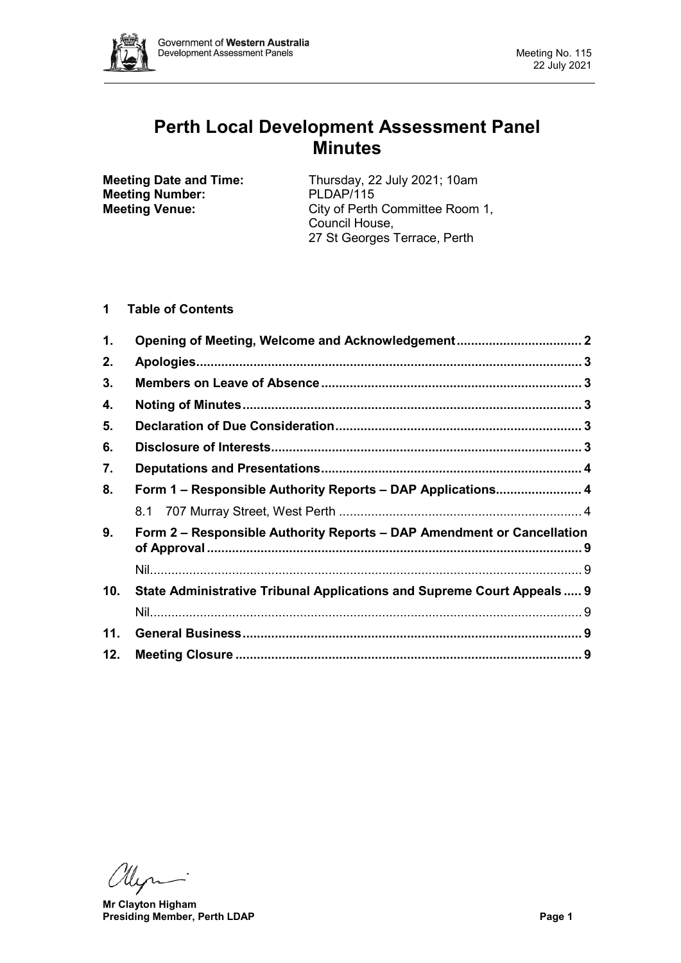

# **Perth Local Development Assessment Panel Minutes**

**Meeting Number:**<br>Meeting Venue:

**Meeting Date and Time:** Thursday, 22 July 2021; 10am<br> **Meeting Number:** PLDAP/115 City of Perth Committee Room 1, Council House, 27 St Georges Terrace, Perth

# **1 Table of Contents**

| 1.  |                                                                         |  |
|-----|-------------------------------------------------------------------------|--|
| 2.  |                                                                         |  |
| 3.  |                                                                         |  |
| 4.  |                                                                         |  |
| 5.  |                                                                         |  |
| 6.  |                                                                         |  |
| 7.  |                                                                         |  |
| 8.  | Form 1 – Responsible Authority Reports – DAP Applications 4             |  |
|     |                                                                         |  |
| 9.  | Form 2 – Responsible Authority Reports – DAP Amendment or Cancellation  |  |
|     |                                                                         |  |
| 10. | State Administrative Tribunal Applications and Supreme Court Appeals  9 |  |
|     |                                                                         |  |
| 11. |                                                                         |  |
| 12. |                                                                         |  |

**Mr Clayton Higham Presiding Member, Perth LDAP Page 1**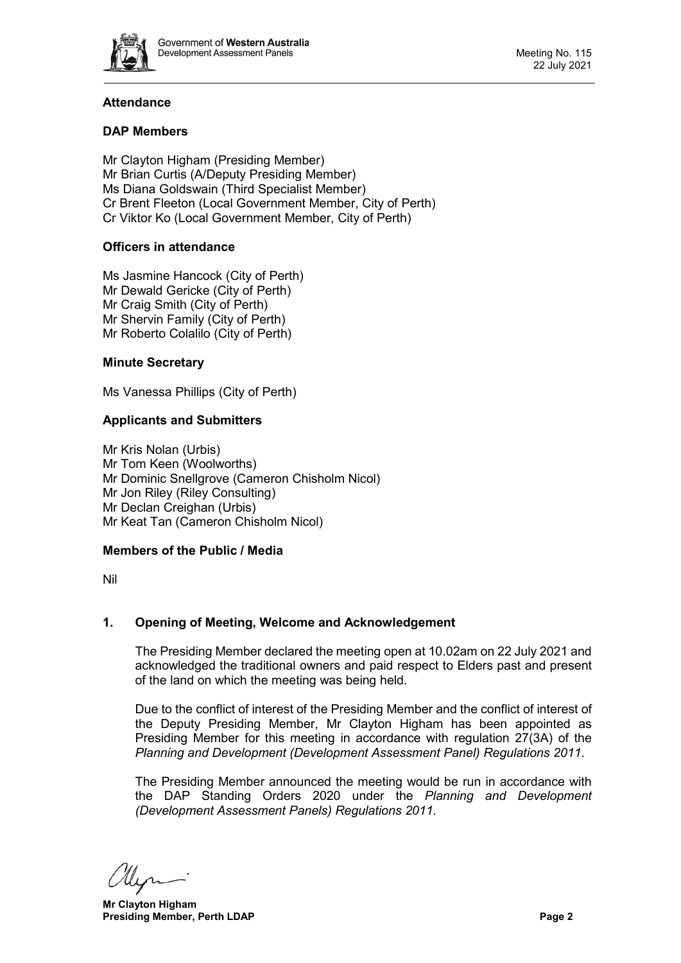

# **Attendance**

# **DAP Members**

Mr Clayton Higham (Presiding Member) Mr Brian Curtis (A/Deputy Presiding Member) Ms Diana Goldswain (Third Specialist Member) Cr Brent Fleeton (Local Government Member, City of Perth) Cr Viktor Ko (Local Government Member, City of Perth)

# **Officers in attendance**

Ms Jasmine Hancock (City of Perth) Mr Dewald Gericke (City of Perth) Mr Craig Smith (City of Perth) Mr Shervin Family (City of Perth) Mr Roberto Colalilo (City of Perth)

### **Minute Secretary**

Ms Vanessa Phillips (City of Perth)

# **Applicants and Submitters**

Mr Kris Nolan (Urbis) Mr Tom Keen (Woolworths) Mr Dominic Snellgrove (Cameron Chisholm Nicol) Mr Jon Riley (Riley Consulting) Mr Declan Creighan (Urbis) Mr Keat Tan (Cameron Chisholm Nicol)

#### **Members of the Public / Media**

Nil

# <span id="page-1-0"></span>**1. Opening of Meeting, Welcome and Acknowledgement**

The Presiding Member declared the meeting open at 10.02am on 22 July 2021 and acknowledged the traditional owners and paid respect to Elders past and present of the land on which the meeting was being held.

Due to the conflict of interest of the Presiding Member and the conflict of interest of the Deputy Presiding Member, Mr Clayton Higham has been appointed as Presiding Member for this meeting in accordance with regulation 27(3A) of the *Planning and Development (Development Assessment Panel) Regulations 2011*.

The Presiding Member announced the meeting would be run in accordance with the DAP Standing Orders 2020 under the *Planning and Development (Development Assessment Panels) Regulations 2011.*

**Mr Clayton Higham Presiding Member, Perth LDAP Page 2 Page 2**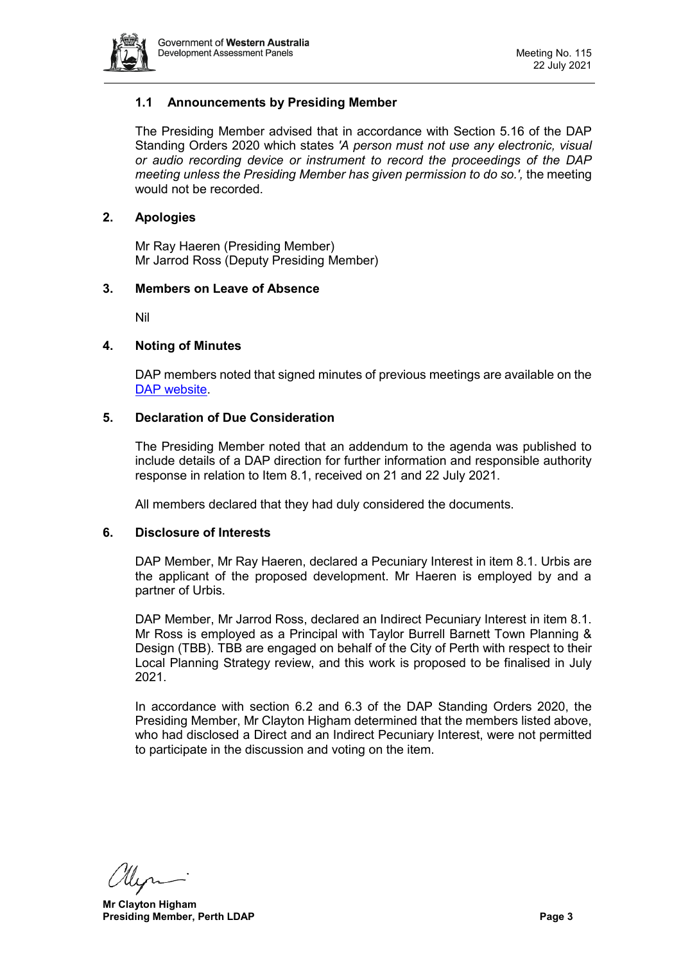

# **1.1 Announcements by Presiding Member**

The Presiding Member advised that in accordance with Section 5.16 of the DAP Standing Orders 2020 which states *'A person must not use any electronic, visual or audio recording device or instrument to record the proceedings of the DAP meeting unless the Presiding Member has given permission to do so.',* the meeting would not be recorded.

# <span id="page-2-0"></span>**2. Apologies**

Mr Ray Haeren (Presiding Member) Mr Jarrod Ross (Deputy Presiding Member)

### <span id="page-2-1"></span>**3. Members on Leave of Absence**

Nil

### <span id="page-2-2"></span>**4. Noting of Minutes**

DAP members noted that signed minutes of previous meetings are available on the [DAP website.](https://www.dplh.wa.gov.au/about/development-assessment-panels/daps-agendas-and-minutes)

### <span id="page-2-3"></span>**5. Declaration of Due Consideration**

The Presiding Member noted that an addendum to the agenda was published to include details of a DAP direction for further information and responsible authority response in relation to Item 8.1, received on 21 and 22 July 2021.

<span id="page-2-4"></span>All members declared that they had duly considered the documents.

#### **6. Disclosure of Interests**

DAP Member, Mr Ray Haeren, declared a Pecuniary Interest in item 8.1. Urbis are the applicant of the proposed development. Mr Haeren is employed by and a partner of Urbis.

DAP Member, Mr Jarrod Ross, declared an Indirect Pecuniary Interest in item 8.1. Mr Ross is employed as a Principal with Taylor Burrell Barnett Town Planning & Design (TBB). TBB are engaged on behalf of the City of Perth with respect to their Local Planning Strategy review, and this work is proposed to be finalised in July 2021.

In accordance with section 6.2 and 6.3 of the DAP Standing Orders 2020, the Presiding Member, Mr Clayton Higham determined that the members listed above, who had disclosed a Direct and an Indirect Pecuniary Interest, were not permitted to participate in the discussion and voting on the item.

**Mr Clayton Higham Presiding Member, Perth LDAP Page 3**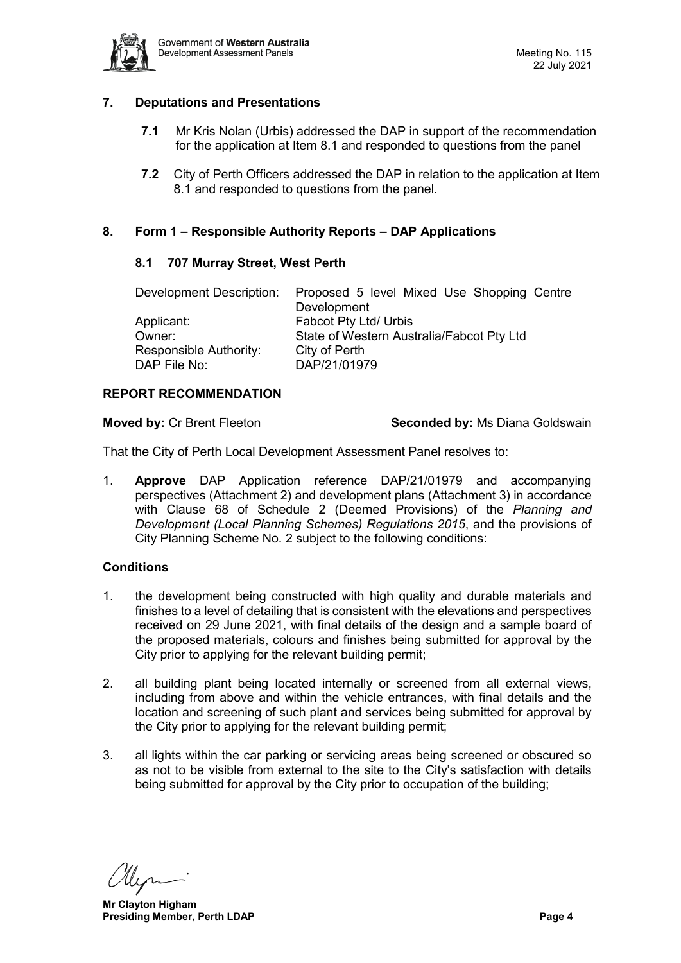

# <span id="page-3-0"></span>**7. Deputations and Presentations**

- **7.1** Mr Kris Nolan (Urbis) addressed the DAP in support of the recommendation for the application at Item 8.1 and responded to questions from the panel
- **7.2** City of Perth Officers addressed the DAP in relation to the application at Item 8.1 and responded to questions from the panel.

# <span id="page-3-2"></span><span id="page-3-1"></span>**8. Form 1 – Responsible Authority Reports – DAP Applications**

#### **8.1 707 Murray Street, West Perth**

| Proposed 5 level Mixed Use Shopping Centre |
|--------------------------------------------|
| Development                                |
| Fabcot Pty Ltd/ Urbis                      |
| State of Western Australia/Fabcot Pty Ltd  |
| City of Perth                              |
| DAP/21/01979                               |
|                                            |

#### **REPORT RECOMMENDATION**

**Moved by:** Cr Brent Fleeton **Seconded by:** Ms Diana Goldswain

That the City of Perth Local Development Assessment Panel resolves to:

1. **Approve** DAP Application reference DAP/21/01979 and accompanying perspectives (Attachment 2) and development plans (Attachment 3) in accordance with Clause 68 of Schedule 2 (Deemed Provisions) of the *Planning and Development (Local Planning Schemes) Regulations 2015*, and the provisions of City Planning Scheme No. 2 subject to the following conditions:

#### **Conditions**

- 1. the development being constructed with high quality and durable materials and finishes to a level of detailing that is consistent with the elevations and perspectives received on 29 June 2021, with final details of the design and a sample board of the proposed materials, colours and finishes being submitted for approval by the City prior to applying for the relevant building permit;
- 2. all building plant being located internally or screened from all external views, including from above and within the vehicle entrances, with final details and the location and screening of such plant and services being submitted for approval by the City prior to applying for the relevant building permit;
- 3. all lights within the car parking or servicing areas being screened or obscured so as not to be visible from external to the site to the City's satisfaction with details being submitted for approval by the City prior to occupation of the building;

**Mr Clayton Higham Presiding Member, Perth LDAP Page 4**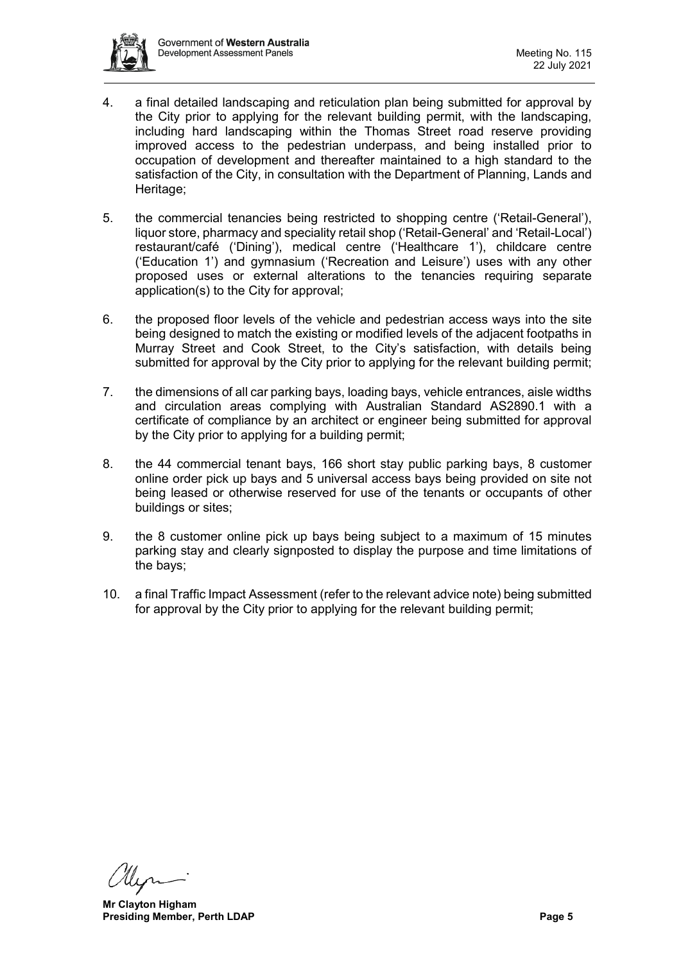

- 4. a final detailed landscaping and reticulation plan being submitted for approval by the City prior to applying for the relevant building permit, with the landscaping, including hard landscaping within the Thomas Street road reserve providing improved access to the pedestrian underpass, and being installed prior to occupation of development and thereafter maintained to a high standard to the satisfaction of the City, in consultation with the Department of Planning, Lands and Heritage;
- 5. the commercial tenancies being restricted to shopping centre ('Retail-General'), liquor store, pharmacy and speciality retail shop ('Retail-General' and 'Retail-Local') restaurant/café ('Dining'), medical centre ('Healthcare 1'), childcare centre ('Education 1') and gymnasium ('Recreation and Leisure') uses with any other proposed uses or external alterations to the tenancies requiring separate application(s) to the City for approval;
- 6. the proposed floor levels of the vehicle and pedestrian access ways into the site being designed to match the existing or modified levels of the adjacent footpaths in Murray Street and Cook Street, to the City's satisfaction, with details being submitted for approval by the City prior to applying for the relevant building permit;
- 7. the dimensions of all car parking bays, loading bays, vehicle entrances, aisle widths and circulation areas complying with Australian Standard AS2890.1 with a certificate of compliance by an architect or engineer being submitted for approval by the City prior to applying for a building permit;
- 8. the 44 commercial tenant bays, 166 short stay public parking bays, 8 customer online order pick up bays and 5 universal access bays being provided on site not being leased or otherwise reserved for use of the tenants or occupants of other buildings or sites;
- 9. the 8 customer online pick up bays being subject to a maximum of 15 minutes parking stay and clearly signposted to display the purpose and time limitations of the bays;
- 10. a final Traffic Impact Assessment (refer to the relevant advice note) being submitted for approval by the City prior to applying for the relevant building permit;

**Mr Clayton Higham Presiding Member, Perth LDAP Page 5**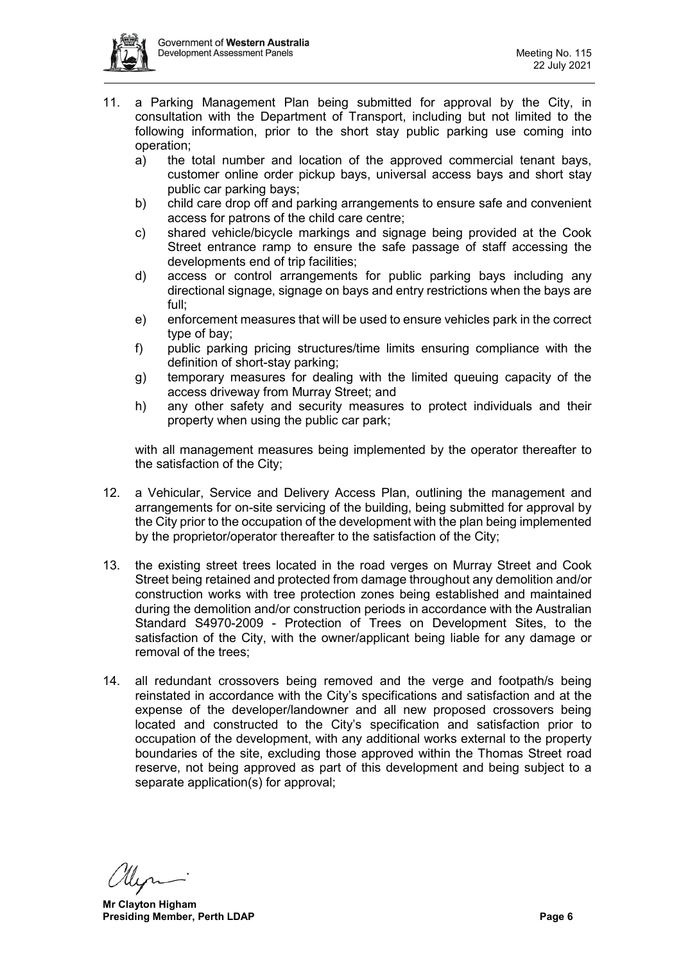

- 11. a Parking Management Plan being submitted for approval by the City, in consultation with the Department of Transport, including but not limited to the following information, prior to the short stay public parking use coming into operation;
	- a) the total number and location of the approved commercial tenant bays, customer online order pickup bays, universal access bays and short stay public car parking bays;
	- b) child care drop off and parking arrangements to ensure safe and convenient access for patrons of the child care centre;
	- c) shared vehicle/bicycle markings and signage being provided at the Cook Street entrance ramp to ensure the safe passage of staff accessing the developments end of trip facilities;
	- d) access or control arrangements for public parking bays including any directional signage, signage on bays and entry restrictions when the bays are full;
	- e) enforcement measures that will be used to ensure vehicles park in the correct type of bay;
	- f) public parking pricing structures/time limits ensuring compliance with the definition of short-stay parking;
	- g) temporary measures for dealing with the limited queuing capacity of the access driveway from Murray Street; and
	- h) any other safety and security measures to protect individuals and their property when using the public car park;

with all management measures being implemented by the operator thereafter to the satisfaction of the City;

- 12. a Vehicular, Service and Delivery Access Plan, outlining the management and arrangements for on-site servicing of the building, being submitted for approval by the City prior to the occupation of the development with the plan being implemented by the proprietor/operator thereafter to the satisfaction of the City;
- 13. the existing street trees located in the road verges on Murray Street and Cook Street being retained and protected from damage throughout any demolition and/or construction works with tree protection zones being established and maintained during the demolition and/or construction periods in accordance with the Australian Standard S4970-2009 - Protection of Trees on Development Sites, to the satisfaction of the City, with the owner/applicant being liable for any damage or removal of the trees;
- 14. all redundant crossovers being removed and the verge and footpath/s being reinstated in accordance with the City's specifications and satisfaction and at the expense of the developer/landowner and all new proposed crossovers being located and constructed to the City's specification and satisfaction prior to occupation of the development, with any additional works external to the property boundaries of the site, excluding those approved within the Thomas Street road reserve, not being approved as part of this development and being subject to a separate application(s) for approval;

**Mr Clayton Higham Presiding Member, Perth LDAP Page 6 Page 6 Page 6 Page 6 Page 6 Page 6 Page 6 Page 6 Page 6 Page 6 Page 6 Page 6 Page 6 Page 6 Page 1 Page 6 Page 1 Page 1 Page 1 Page 1 Page 1 P**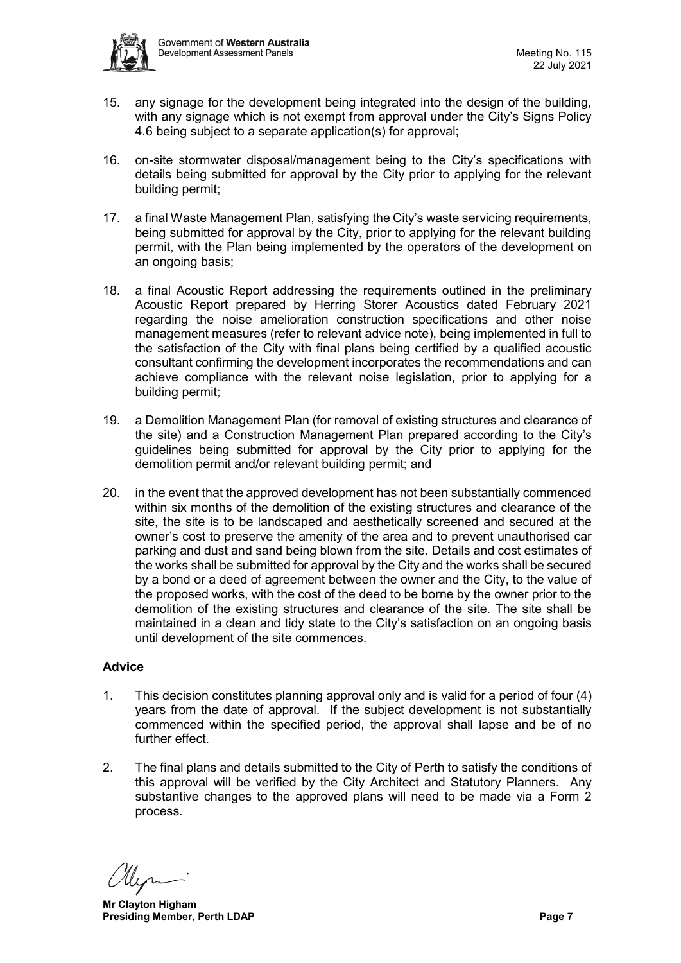

- 15. any signage for the development being integrated into the design of the building, with any signage which is not exempt from approval under the City's Signs Policy 4.6 being subject to a separate application(s) for approval;
- 16. on-site stormwater disposal/management being to the City's specifications with details being submitted for approval by the City prior to applying for the relevant building permit;
- 17. a final Waste Management Plan, satisfying the City's waste servicing requirements, being submitted for approval by the City, prior to applying for the relevant building permit, with the Plan being implemented by the operators of the development on an ongoing basis;
- 18. a final Acoustic Report addressing the requirements outlined in the preliminary Acoustic Report prepared by Herring Storer Acoustics dated February 2021 regarding the noise amelioration construction specifications and other noise management measures (refer to relevant advice note), being implemented in full to the satisfaction of the City with final plans being certified by a qualified acoustic consultant confirming the development incorporates the recommendations and can achieve compliance with the relevant noise legislation, prior to applying for a building permit;
- 19. a Demolition Management Plan (for removal of existing structures and clearance of the site) and a Construction Management Plan prepared according to the City's guidelines being submitted for approval by the City prior to applying for the demolition permit and/or relevant building permit; and
- 20. in the event that the approved development has not been substantially commenced within six months of the demolition of the existing structures and clearance of the site, the site is to be landscaped and aesthetically screened and secured at the owner's cost to preserve the amenity of the area and to prevent unauthorised car parking and dust and sand being blown from the site. Details and cost estimates of the works shall be submitted for approval by the City and the works shall be secured by a bond or a deed of agreement between the owner and the City, to the value of the proposed works, with the cost of the deed to be borne by the owner prior to the demolition of the existing structures and clearance of the site. The site shall be maintained in a clean and tidy state to the City's satisfaction on an ongoing basis until development of the site commences.

# **Advice**

- 1. This decision constitutes planning approval only and is valid for a period of four (4) years from the date of approval. If the subject development is not substantially commenced within the specified period, the approval shall lapse and be of no further effect.
- 2. The final plans and details submitted to the City of Perth to satisfy the conditions of this approval will be verified by the City Architect and Statutory Planners. Any substantive changes to the approved plans will need to be made via a Form 2 process.

**Mr Clayton Higham Presiding Member, Perth LDAP Page 7 Page 7 Page 7**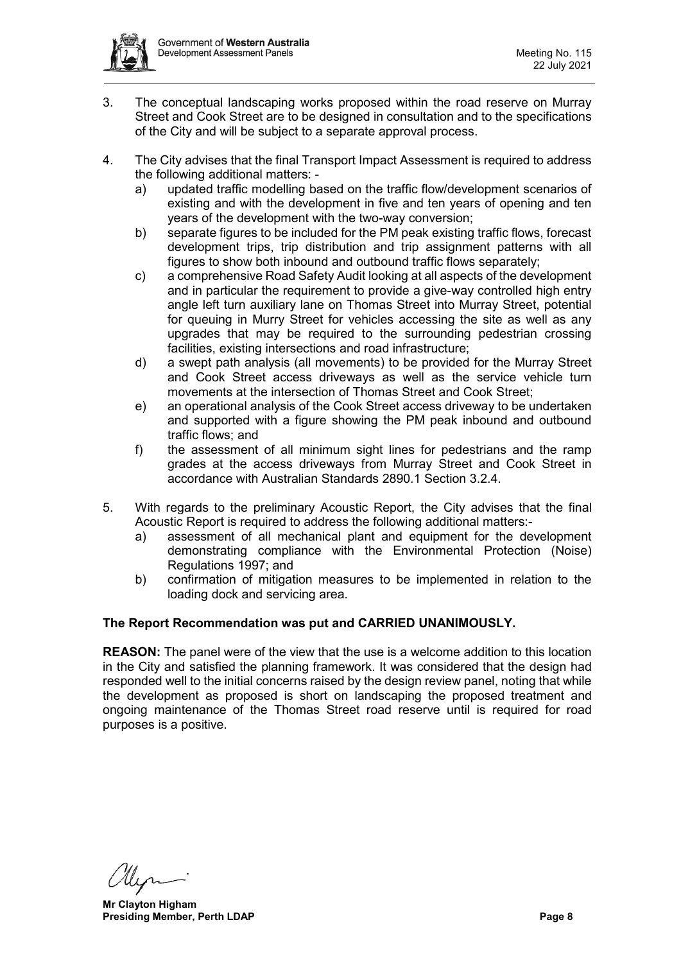

- 3. The conceptual landscaping works proposed within the road reserve on Murray Street and Cook Street are to be designed in consultation and to the specifications of the City and will be subject to a separate approval process.
- 4. The City advises that the final Transport Impact Assessment is required to address the following additional matters:
	- a) updated traffic modelling based on the traffic flow/development scenarios of existing and with the development in five and ten years of opening and ten years of the development with the two-way conversion;
	- b) separate figures to be included for the PM peak existing traffic flows, forecast development trips, trip distribution and trip assignment patterns with all figures to show both inbound and outbound traffic flows separately;
	- c) a comprehensive Road Safety Audit looking at all aspects of the development and in particular the requirement to provide a give-way controlled high entry angle left turn auxiliary lane on Thomas Street into Murray Street, potential for queuing in Murry Street for vehicles accessing the site as well as any upgrades that may be required to the surrounding pedestrian crossing facilities, existing intersections and road infrastructure;
	- d) a swept path analysis (all movements) to be provided for the Murray Street and Cook Street access driveways as well as the service vehicle turn movements at the intersection of Thomas Street and Cook Street;
	- e) an operational analysis of the Cook Street access driveway to be undertaken and supported with a figure showing the PM peak inbound and outbound traffic flows; and
	- f) the assessment of all minimum sight lines for pedestrians and the ramp grades at the access driveways from Murray Street and Cook Street in accordance with Australian Standards 2890.1 Section 3.2.4.
- 5. With regards to the preliminary Acoustic Report, the City advises that the final Acoustic Report is required to address the following additional matters:
	- a) assessment of all mechanical plant and equipment for the development demonstrating compliance with the Environmental Protection (Noise) Regulations 1997; and
	- b) confirmation of mitigation measures to be implemented in relation to the loading dock and servicing area.

# **The Report Recommendation was put and CARRIED UNANIMOUSLY.**

**REASON:** The panel were of the view that the use is a welcome addition to this location in the City and satisfied the planning framework. It was considered that the design had responded well to the initial concerns raised by the design review panel, noting that while the development as proposed is short on landscaping the proposed treatment and ongoing maintenance of the Thomas Street road reserve until is required for road purposes is a positive.

**Mr Clayton Higham Presiding Member, Perth LDAP Page 8**